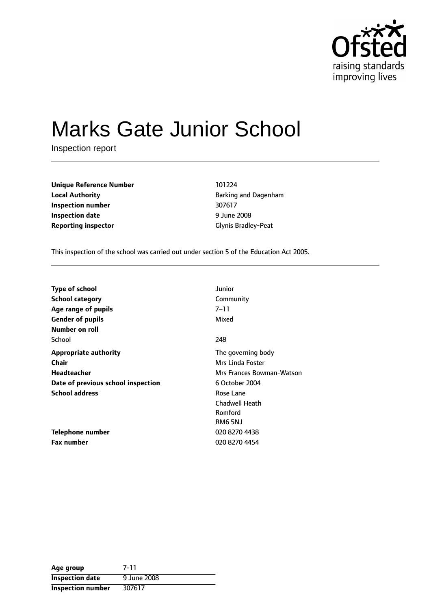

# Marks Gate Junior School

Inspection report

**Unique Reference Number** 101224 **Local Authority Barking and Dagenham Inspection number** 307617 **Inspection date** 9 June 2008 **Reporting inspector** Glynis Bradley-Peat

This inspection of the school was carried out under section 5 of the Education Act 2005.

| <b>Type of school</b>              | Junior                    |
|------------------------------------|---------------------------|
| <b>School category</b>             | Community                 |
| Age range of pupils                | $7 - 11$                  |
| <b>Gender of pupils</b>            | Mixed                     |
| Number on roll                     |                           |
| School                             | 248                       |
| <b>Appropriate authority</b>       | The governing body        |
| <b>Chair</b>                       | Mrs Linda Foster          |
| Headteacher                        | Mrs Frances Bowman-Watson |
| Date of previous school inspection | 6 October 2004            |
| <b>School address</b>              | Rose Lane                 |
|                                    | <b>Chadwell Heath</b>     |
|                                    | Romford                   |
|                                    | RM6 5NJ                   |
| Telephone number                   | 020 8270 4438             |
| <b>Fax number</b>                  | 020 8270 4454             |

| Age group              | 7-11        |
|------------------------|-------------|
| <b>Inspection date</b> | 9 June 2008 |
| Inspection number      | 307617      |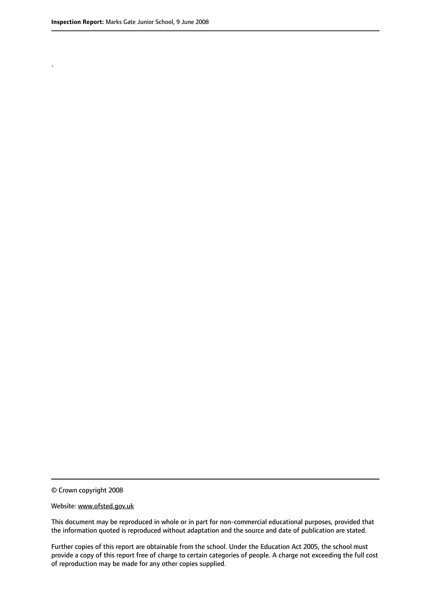.

© Crown copyright 2008

#### Website: www.ofsted.gov.uk

This document may be reproduced in whole or in part for non-commercial educational purposes, provided that the information quoted is reproduced without adaptation and the source and date of publication are stated.

Further copies of this report are obtainable from the school. Under the Education Act 2005, the school must provide a copy of this report free of charge to certain categories of people. A charge not exceeding the full cost of reproduction may be made for any other copies supplied.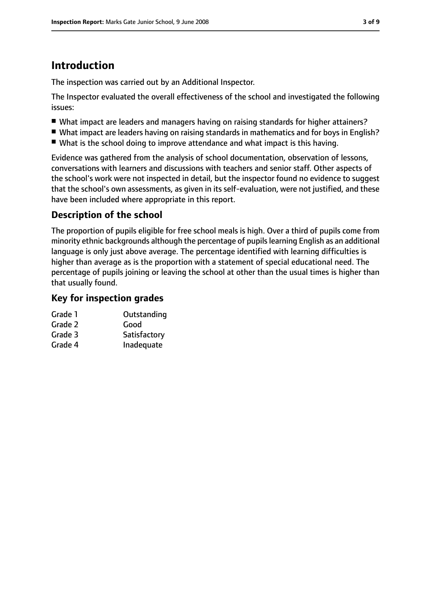# **Introduction**

The inspection was carried out by an Additional Inspector.

The Inspector evaluated the overall effectiveness of the school and investigated the following issues:

- What impact are leaders and managers having on raising standards for higher attainers?
- What impact are leaders having on raising standards in mathematics and for boys in English?
- What is the school doing to improve attendance and what impact is this having.

Evidence was gathered from the analysis of school documentation, observation of lessons, conversations with learners and discussions with teachers and senior staff. Other aspects of the school's work were not inspected in detail, but the inspector found no evidence to suggest that the school's own assessments, as given in its self-evaluation, were not justified, and these have been included where appropriate in this report.

# **Description of the school**

The proportion of pupils eligible for free school meals is high. Over a third of pupils come from minority ethnic backgrounds although the percentage of pupilslearning English as an additional language is only just above average. The percentage identified with learning difficulties is higher than average as is the proportion with a statement of special educational need. The percentage of pupils joining or leaving the school at other than the usual times is higher than that usually found.

# **Key for inspection grades**

| Grade 1 | Outstanding  |
|---------|--------------|
| Grade 2 | Good         |
| Grade 3 | Satisfactory |
| Grade 4 | Inadequate   |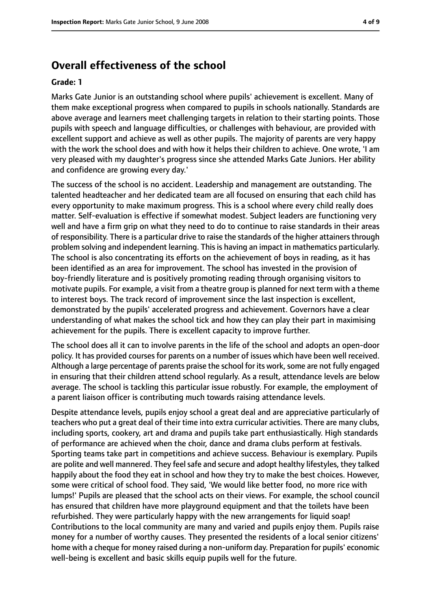# **Overall effectiveness of the school**

#### **Grade: 1**

Marks Gate Junior is an outstanding school where pupils' achievement is excellent. Many of them make exceptional progress when compared to pupils in schools nationally. Standards are above average and learners meet challenging targets in relation to their starting points. Those pupils with speech and language difficulties, or challenges with behaviour, are provided with excellent support and achieve as well as other pupils. The majority of parents are very happy with the work the school does and with how it helps their children to achieve. One wrote, 'I am very pleased with my daughter's progress since she attended Marks Gate Juniors. Her ability and confidence are growing every day.'

The success of the school is no accident. Leadership and management are outstanding. The talented headteacher and her dedicated team are all focused on ensuring that each child has every opportunity to make maximum progress. This is a school where every child really does matter. Self-evaluation is effective if somewhat modest. Subject leaders are functioning very well and have a firm grip on what they need to do to continue to raise standards in their areas of responsibility. There is a particular drive to raise the standards of the higher attainersthrough problem solving and independent learning. This is having an impact in mathematics particularly. The school is also concentrating its efforts on the achievement of boys in reading, as it has been identified as an area for improvement. The school has invested in the provision of boy-friendly literature and is positively promoting reading through organising visitors to motivate pupils. For example, a visit from a theatre group is planned for next term with a theme to interest boys. The track record of improvement since the last inspection is excellent, demonstrated by the pupils' accelerated progress and achievement. Governors have a clear understanding of what makes the school tick and how they can play their part in maximising achievement for the pupils. There is excellent capacity to improve further.

The school does all it can to involve parents in the life of the school and adopts an open-door policy. It has provided courses for parents on a number of issues which have been well received. Although a large percentage of parents praise the school for its work, some are not fully engaged in ensuring that their children attend school regularly. As a result, attendance levels are below average. The school is tackling this particular issue robustly. For example, the employment of a parent liaison officer is contributing much towards raising attendance levels.

Despite attendance levels, pupils enjoy school a great deal and are appreciative particularly of teachers who put a great deal of their time into extra curricular activities. There are many clubs, including sports, cookery, art and drama and pupils take part enthusiastically. High standards of performance are achieved when the choir, dance and drama clubs perform at festivals. Sporting teams take part in competitions and achieve success. Behaviour is exemplary. Pupils are polite and well mannered. They feelsafe and secure and adopt healthy lifestyles, they talked happily about the food they eat in school and how they try to make the best choices. However, some were critical of school food. They said, 'We would like better food, no more rice with lumps!' Pupils are pleased that the school acts on their views. For example, the school council has ensured that children have more playground equipment and that the toilets have been refurbished. They were particularly happy with the new arrangements for liquid soap! Contributions to the local community are many and varied and pupils enjoy them. Pupils raise money for a number of worthy causes. They presented the residents of a local senior citizens' home with a cheque for money raised during a non-uniform day. Preparation for pupils' economic well-being is excellent and basic skills equip pupils well for the future.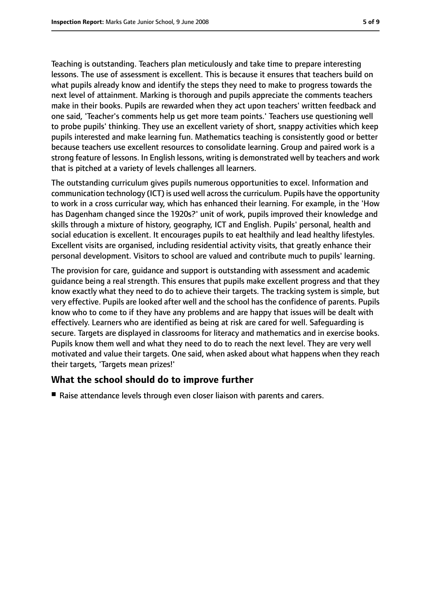Teaching is outstanding. Teachers plan meticulously and take time to prepare interesting lessons. The use of assessment is excellent. This is because it ensures that teachers build on what pupils already know and identify the steps they need to make to progress towards the next level of attainment. Marking is thorough and pupils appreciate the comments teachers make in their books. Pupils are rewarded when they act upon teachers' written feedback and one said, 'Teacher's comments help us get more team points.' Teachers use questioning well to probe pupils' thinking. They use an excellent variety of short, snappy activities which keep pupils interested and make learning fun. Mathematics teaching is consistently good or better because teachers use excellent resources to consolidate learning. Group and paired work is a strong feature of lessons. In English lessons, writing is demonstrated well by teachers and work that is pitched at a variety of levels challenges all learners.

The outstanding curriculum gives pupils numerous opportunities to excel. Information and communication technology (ICT) is used well acrossthe curriculum. Pupils have the opportunity to work in a cross curricular way, which has enhanced their learning. For example, in the 'How has Dagenham changed since the 1920s?' unit of work, pupils improved their knowledge and skills through a mixture of history, geography, ICT and English. Pupils' personal, health and social education is excellent. It encourages pupils to eat healthily and lead healthy lifestyles. Excellent visits are organised, including residential activity visits, that greatly enhance their personal development. Visitors to school are valued and contribute much to pupils' learning.

The provision for care, guidance and support is outstanding with assessment and academic guidance being a real strength. This ensures that pupils make excellent progress and that they know exactly what they need to do to achieve their targets. The tracking system is simple, but very effective. Pupils are looked after well and the school has the confidence of parents. Pupils know who to come to if they have any problems and are happy that issues will be dealt with effectively. Learners who are identified as being at risk are cared for well. Safeguarding is secure. Targets are displayed in classrooms for literacy and mathematics and in exercise books. Pupils know them well and what they need to do to reach the next level. They are very well motivated and value their targets. One said, when asked about what happens when they reach their targets, 'Targets mean prizes!'

# **What the school should do to improve further**

■ Raise attendance levels through even closer liaison with parents and carers.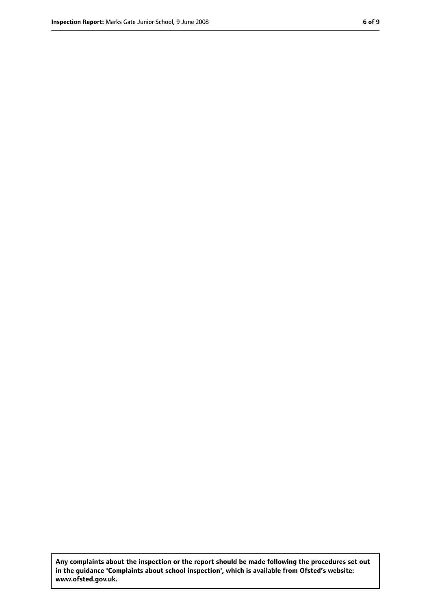**Any complaints about the inspection or the report should be made following the procedures set out in the guidance 'Complaints about school inspection', which is available from Ofsted's website: www.ofsted.gov.uk.**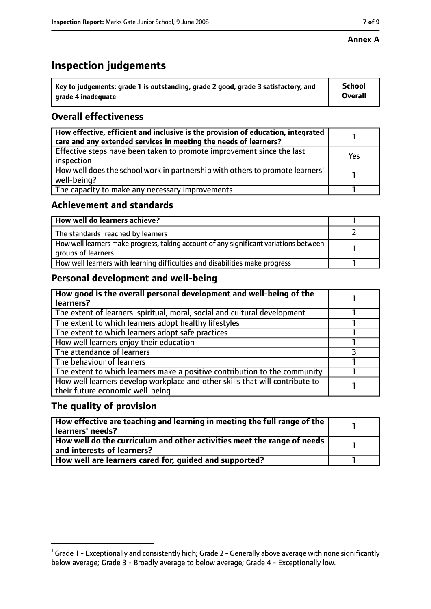#### **Annex A**

# **Inspection judgements**

| $^{\backprime}$ Key to judgements: grade 1 is outstanding, grade 2 good, grade 3 satisfactory, and | <b>School</b>  |
|----------------------------------------------------------------------------------------------------|----------------|
| arade 4 inadequate                                                                                 | <b>Overall</b> |

# **Overall effectiveness**

| How effective, efficient and inclusive is the provision of education, integrated<br>care and any extended services in meeting the needs of learners? |     |
|------------------------------------------------------------------------------------------------------------------------------------------------------|-----|
| Effective steps have been taken to promote improvement since the last<br>inspection                                                                  | Yes |
| How well does the school work in partnership with others to promote learners'<br>well-being?                                                         |     |
| The capacity to make any necessary improvements                                                                                                      |     |

### **Achievement and standards**

| How well do learners achieve?                                                                               |  |
|-------------------------------------------------------------------------------------------------------------|--|
| The standards <sup>1</sup> reached by learners                                                              |  |
| How well learners make progress, taking account of any significant variations between<br>groups of learners |  |
| How well learners with learning difficulties and disabilities make progress                                 |  |

# **Personal development and well-being**

| How good is the overall personal development and well-being of the<br>learners?                                  |  |
|------------------------------------------------------------------------------------------------------------------|--|
| The extent of learners' spiritual, moral, social and cultural development                                        |  |
| The extent to which learners adopt healthy lifestyles                                                            |  |
| The extent to which learners adopt safe practices                                                                |  |
| How well learners enjoy their education                                                                          |  |
| The attendance of learners                                                                                       |  |
| The behaviour of learners                                                                                        |  |
| The extent to which learners make a positive contribution to the community                                       |  |
| How well learners develop workplace and other skills that will contribute to<br>their future economic well-being |  |

### **The quality of provision**

| $\mid$ How effective are teaching and learning in meeting the full range of the $\mid$<br>learners' needs? |  |
|------------------------------------------------------------------------------------------------------------|--|
| How well do the curriculum and other activities meet the range of needs  <br>and interests of learners?    |  |
| How well are learners cared for, guided and supported?                                                     |  |

 $^1$  Grade 1 - Exceptionally and consistently high; Grade 2 - Generally above average with none significantly below average; Grade 3 - Broadly average to below average; Grade 4 - Exceptionally low.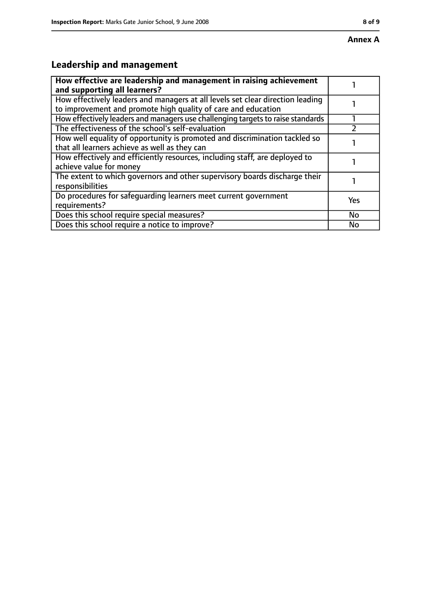# **Leadership and management**

| How effective are leadership and management in raising achievement<br>and supporting all learners?                                              |           |
|-------------------------------------------------------------------------------------------------------------------------------------------------|-----------|
| How effectively leaders and managers at all levels set clear direction leading<br>to improvement and promote high quality of care and education |           |
| How effectively leaders and managers use challenging targets to raise standards                                                                 |           |
| The effectiveness of the school's self-evaluation                                                                                               |           |
| How well equality of opportunity is promoted and discrimination tackled so<br>that all learners achieve as well as they can                     |           |
| How effectively and efficiently resources, including staff, are deployed to<br>achieve value for money                                          |           |
| The extent to which governors and other supervisory boards discharge their<br>responsibilities                                                  |           |
| Do procedures for safequarding learners meet current government<br>requirements?                                                                | Yes       |
| Does this school require special measures?                                                                                                      | <b>No</b> |
| Does this school require a notice to improve?                                                                                                   | No        |